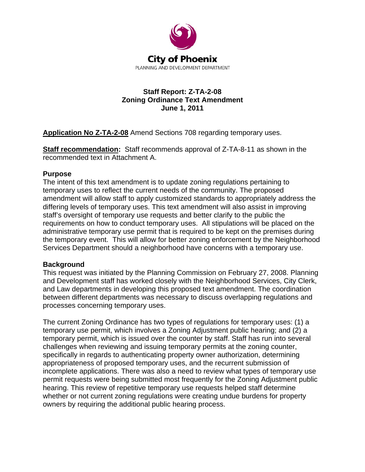

# **Staff Report: Z-TA-2-08 Zoning Ordinance Text Amendment June 1, 2011**

**Application No Z-TA-2-08** Amend Sections 708 regarding temporary uses.

**Staff recommendation:** Staff recommends approval of Z-TA-8-11 as shown in the recommended text in Attachment A.

# **Purpose**

The intent of this text amendment is to update zoning regulations pertaining to temporary uses to reflect the current needs of the community. The proposed amendment will allow staff to apply customized standards to appropriately address the differing levels of temporary uses. This text amendment will also assist in improving staff's oversight of temporary use requests and better clarify to the public the requirements on how to conduct temporary uses. All stipulations will be placed on the administrative temporary use permit that is required to be kept on the premises during the temporary event. This will allow for better zoning enforcement by the Neighborhood Services Department should a neighborhood have concerns with a temporary use.

# **Background**

This request was initiated by the Planning Commission on February 27, 2008. Planning and Development staff has worked closely with the Neighborhood Services, City Clerk, and Law departments in developing this proposed text amendment. The coordination between different departments was necessary to discuss overlapping regulations and processes concerning temporary uses.

The current Zoning Ordinance has two types of regulations for temporary uses: (1) a temporary use permit, which involves a Zoning Adjustment public hearing; and (2) a temporary permit, which is issued over the counter by staff. Staff has run into several challenges when reviewing and issuing temporary permits at the zoning counter, specifically in regards to authenticating property owner authorization, determining appropriateness of proposed temporary uses, and the recurrent submission of incomplete applications. There was also a need to review what types of temporary use permit requests were being submitted most frequently for the Zoning Adjustment public hearing. This review of repetitive temporary use requests helped staff determine whether or not current zoning regulations were creating undue burdens for property owners by requiring the additional public hearing process.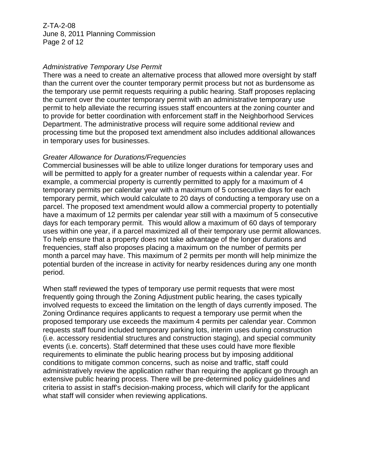Z-TA-2-08 June 8, 2011 Planning Commission Page 2 of 12

#### *Administrative Temporary Use Permit*

There was a need to create an alternative process that allowed more oversight by staff than the current over the counter temporary permit process but not as burdensome as the temporary use permit requests requiring a public hearing. Staff proposes replacing the current over the counter temporary permit with an administrative temporary use permit to help alleviate the recurring issues staff encounters at the zoning counter and to provide for better coordination with enforcement staff in the Neighborhood Services Department. The administrative process will require some additional review and processing time but the proposed text amendment also includes additional allowances in temporary uses for businesses.

### *Greater Allowance for Durations/Frequencies*

Commercial businesses will be able to utilize longer durations for temporary uses and will be permitted to apply for a greater number of requests within a calendar year. For example, a commercial property is currently permitted to apply for a maximum of 4 temporary permits per calendar year with a maximum of 5 consecutive days for each temporary permit, which would calculate to 20 days of conducting a temporary use on a parcel. The proposed text amendment would allow a commercial property to potentially have a maximum of 12 permits per calendar year still with a maximum of 5 consecutive days for each temporary permit. This would allow a maximum of 60 days of temporary uses within one year, if a parcel maximized all of their temporary use permit allowances. To help ensure that a property does not take advantage of the longer durations and frequencies, staff also proposes placing a maximum on the number of permits per month a parcel may have. This maximum of 2 permits per month will help minimize the potential burden of the increase in activity for nearby residences during any one month period.

When staff reviewed the types of temporary use permit requests that were most frequently going through the Zoning Adjustment public hearing, the cases typically involved requests to exceed the limitation on the length of days currently imposed. The Zoning Ordinance requires applicants to request a temporary use permit when the proposed temporary use exceeds the maximum 4 permits per calendar year. Common requests staff found included temporary parking lots, interim uses during construction (i.e. accessory residential structures and construction staging), and special community events (i.e. concerts). Staff determined that these uses could have more flexible requirements to eliminate the public hearing process but by imposing additional conditions to mitigate common concerns, such as noise and traffic, staff could administratively review the application rather than requiring the applicant go through an extensive public hearing process. There will be pre-determined policy guidelines and criteria to assist in staff's decision-making process, which will clarify for the applicant what staff will consider when reviewing applications.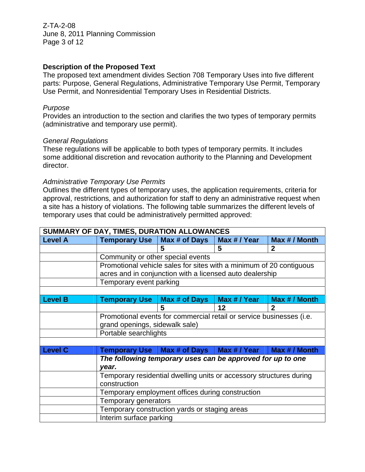Z-TA-2-08 June 8, 2011 Planning Commission Page 3 of 12

## **Description of the Proposed Text**

The proposed text amendment divides Section 708 Temporary Uses into five different parts: Purpose, General Regulations, Administrative Temporary Use Permit, Temporary Use Permit, and Nonresidential Temporary Uses in Residential Districts.

#### *Purpose*

Provides an introduction to the section and clarifies the two types of temporary permits (administrative and temporary use permit).

#### *General Regulations*

These regulations will be applicable to both types of temporary permits. It includes some additional discretion and revocation authority to the Planning and Development director.

### *Administrative Temporary Use Permits*

Outlines the different types of temporary uses, the application requirements, criteria for approval, restrictions, and authorization for staff to deny an administrative request when a site has a history of violations. The following table summarizes the different levels of temporary uses that could be administratively permitted approved:

| SUMMARY OF DAY, TIMES, DURATION ALLOWANCES |                                                                      |                                              |              |               |  |
|--------------------------------------------|----------------------------------------------------------------------|----------------------------------------------|--------------|---------------|--|
| <b>Level A</b>                             | <b>Temporary Use</b>                                                 | Max # of Days                                | Max # / Year | Max # / Month |  |
|                                            |                                                                      | 5                                            | 5            | $\mathbf{2}$  |  |
|                                            | Community or other special events                                    |                                              |              |               |  |
|                                            | Promotional vehicle sales for sites with a minimum of 20 contiguous  |                                              |              |               |  |
|                                            | acres and in conjunction with a licensed auto dealership             |                                              |              |               |  |
|                                            | Temporary event parking                                              |                                              |              |               |  |
|                                            |                                                                      |                                              |              |               |  |
| <b>Level B</b>                             | <b>Temporary Use</b>                                                 | Max # of Days                                | Max # / Year | Max # / Month |  |
|                                            |                                                                      | 5                                            | 12           | $\mathbf{2}$  |  |
|                                            | Promotional events for commercial retail or service businesses (i.e. |                                              |              |               |  |
|                                            | grand openings, sidewalk sale)                                       |                                              |              |               |  |
|                                            | Portable searchlights                                                |                                              |              |               |  |
|                                            |                                                                      |                                              |              |               |  |
| <b>Level C</b>                             |                                                                      | Temporary Use   Max # of Days   Max # / Year |              | Max # / Month |  |
|                                            | The following temporary uses can be approved for up to one           |                                              |              |               |  |
|                                            | vear.                                                                |                                              |              |               |  |
|                                            | Temporary residential dwelling units or accessory structures during  |                                              |              |               |  |
|                                            | construction                                                         |                                              |              |               |  |
|                                            | Temporary employment offices during construction                     |                                              |              |               |  |
|                                            | Temporary generators                                                 |                                              |              |               |  |
|                                            | Temporary construction yards or staging areas                        |                                              |              |               |  |
|                                            | Interim surface parking                                              |                                              |              |               |  |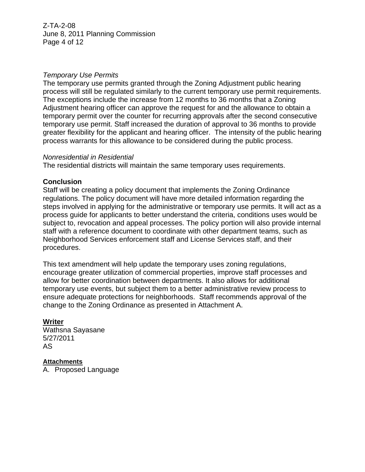Z-TA-2-08 June 8, 2011 Planning Commission Page 4 of 12

### *Temporary Use Permits*

The temporary use permits granted through the Zoning Adjustment public hearing process will still be regulated similarly to the current temporary use permit requirements. The exceptions include the increase from 12 months to 36 months that a Zoning Adjustment hearing officer can approve the request for and the allowance to obtain a temporary permit over the counter for recurring approvals after the second consecutive temporary use permit. Staff increased the duration of approval to 36 months to provide greater flexibility for the applicant and hearing officer. The intensity of the public hearing process warrants for this allowance to be considered during the public process.

#### *Nonresidential in Residential*

The residential districts will maintain the same temporary uses requirements.

### **Conclusion**

Staff will be creating a policy document that implements the Zoning Ordinance regulations. The policy document will have more detailed information regarding the steps involved in applying for the administrative or temporary use permits. It will act as a process guide for applicants to better understand the criteria, conditions uses would be subject to, revocation and appeal processes. The policy portion will also provide internal staff with a reference document to coordinate with other department teams, such as Neighborhood Services enforcement staff and License Services staff, and their procedures.

This text amendment will help update the temporary uses zoning regulations, encourage greater utilization of commercial properties, improve staff processes and allow for better coordination between departments. It also allows for additional temporary use events, but subject them to a better administrative review process to ensure adequate protections for neighborhoods. Staff recommends approval of the change to the Zoning Ordinance as presented in Attachment A.

# **Writer**

Wathsna Sayasane 5/27/2011 AS

## **Attachments**

A. Proposed Language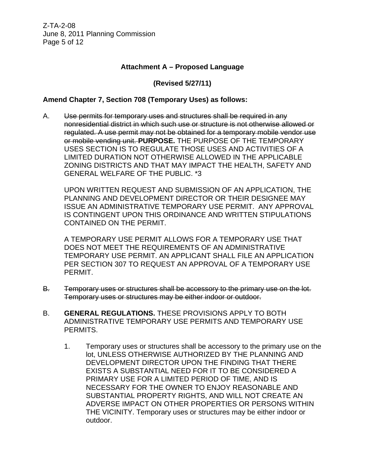Z-TA-2-08 June 8, 2011 Planning Commission Page 5 of 12

### **Attachment A – Proposed Language**

## **(Revised 5/27/11)**

## **Amend Chapter 7, Section 708 (Temporary Uses) as follows:**

A. Use permits for temporary uses and structures shall be required in any nonresidential district in which such use or structure is not otherwise allowed or regulated. A use permit may not be obtained for a temporary mobile vendor use or mobile vending unit. **PURPOSE.** THE PURPOSE OF THE TEMPORARY USES SECTION IS TO REGULATE THOSE USES AND ACTIVITIES OF A LIMITED DURATION NOT OTHERWISE ALLOWED IN THE APPLICABLE ZONING DISTRICTS AND THAT MAY IMPACT THE HEALTH, SAFETY AND GENERAL WELFARE OF THE PUBLIC. \*3

UPON WRITTEN REQUEST AND SUBMISSION OF AN APPLICATION, THE PLANNING AND DEVELOPMENT DIRECTOR OR THEIR DESIGNEE MAY ISSUE AN ADMINISTRATIVE TEMPORARY USE PERMIT. ANY APPROVAL IS CONTINGENT UPON THIS ORDINANCE AND WRITTEN STIPULATIONS CONTAINED ON THE PERMIT.

A TEMPORARY USE PERMIT ALLOWS FOR A TEMPORARY USE THAT DOES NOT MEET THE REQUIREMENTS OF AN ADMINISTRATIVE TEMPORARY USE PERMIT. AN APPLICANT SHALL FILE AN APPLICATION PER SECTION 307 TO REQUEST AN APPROVAL OF A TEMPORARY USE PERMIT.

- B. Temporary uses or structures shall be accessory to the primary use on the lot. Temporary uses or structures may be either indoor or outdoor.
- B. **GENERAL REGULATIONS.** THESE PROVISIONS APPLY TO BOTH ADMINISTRATIVE TEMPORARY USE PERMITS AND TEMPORARY USE PERMITS.
	- 1. Temporary uses or structures shall be accessory to the primary use on the lot, UNLESS OTHERWISE AUTHORIZED BY THE PLANNING AND DEVELOPMENT DIRECTOR UPON THE FINDING THAT THERE EXISTS A SUBSTANTIAL NEED FOR IT TO BE CONSIDERED A PRIMARY USE FOR A LIMITED PERIOD OF TIME, AND IS NECESSARY FOR THE OWNER TO ENJOY REASONABLE AND SUBSTANTIAL PROPERTY RIGHTS, AND WILL NOT CREATE AN ADVERSE IMPACT ON OTHER PROPERTIES OR PERSONS WITHIN THE VICINITY. Temporary uses or structures may be either indoor or outdoor.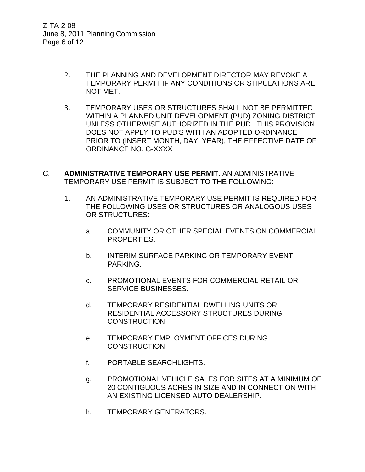Z-TA-2-08 June 8, 2011 Planning Commission Page 6 of 12

- 2. THE PLANNING AND DEVELOPMENT DIRECTOR MAY REVOKE A TEMPORARY PERMIT IF ANY CONDITIONS OR STIPULATIONS ARE NOT MET.
- 3. TEMPORARY USES OR STRUCTURES SHALL NOT BE PERMITTED WITHIN A PLANNED UNIT DEVELOPMENT (PUD) ZONING DISTRICT UNLESS OTHERWISE AUTHORIZED IN THE PUD. THIS PROVISION DOES NOT APPLY TO PUD'S WITH AN ADOPTED ORDINANCE PRIOR TO (INSERT MONTH, DAY, YEAR), THE EFFECTIVE DATE OF ORDINANCE NO. G-XXXX
- C. **ADMINISTRATIVE TEMPORARY USE PERMIT.** AN ADMINISTRATIVE TEMPORARY USE PERMIT IS SUBJECT TO THE FOLLOWING:
	- 1. AN ADMINISTRATIVE TEMPORARY USE PERMIT IS REQUIRED FOR THE FOLLOWING USES OR STRUCTURES OR ANALOGOUS USES OR STRUCTURES:
		- a. COMMUNITY OR OTHER SPECIAL EVENTS ON COMMERCIAL PROPERTIES.
		- b. INTERIM SURFACE PARKING OR TEMPORARY EVENT PARKING.
		- c. PROMOTIONAL EVENTS FOR COMMERCIAL RETAIL OR SERVICE BUSINESSES.
		- d. TEMPORARY RESIDENTIAL DWELLING UNITS OR RESIDENTIAL ACCESSORY STRUCTURES DURING CONSTRUCTION.
		- e. TEMPORARY EMPLOYMENT OFFICES DURING CONSTRUCTION.
		- f. PORTABLE SEARCHLIGHTS.
		- g. PROMOTIONAL VEHICLE SALES FOR SITES AT A MINIMUM OF 20 CONTIGUOUS ACRES IN SIZE AND IN CONNECTION WITH AN EXISTING LICENSED AUTO DEALERSHIP.
		- h. TEMPORARY GENERATORS.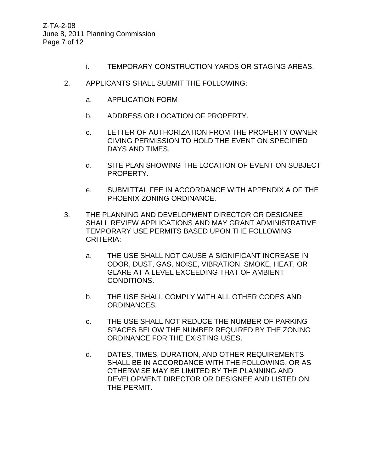Z-TA-2-08 June 8, 2011 Planning Commission Page 7 of 12

- i. TEMPORARY CONSTRUCTION YARDS OR STAGING AREAS.
- 2. APPLICANTS SHALL SUBMIT THE FOLLOWING:
	- a. APPLICATION FORM
	- b. ADDRESS OR LOCATION OF PROPERTY.
	- c. LETTER OF AUTHORIZATION FROM THE PROPERTY OWNER GIVING PERMISSION TO HOLD THE EVENT ON SPECIFIED DAYS AND TIMES.
	- d. SITE PLAN SHOWING THE LOCATION OF EVENT ON SUBJECT PROPERTY.
	- e. SUBMITTAL FEE IN ACCORDANCE WITH APPENDIX A OF THE PHOENIX ZONING ORDINANCE.
- 3. THE PLANNING AND DEVELOPMENT DIRECTOR OR DESIGNEE SHALL REVIEW APPLICATIONS AND MAY GRANT ADMINISTRATIVE TEMPORARY USE PERMITS BASED UPON THE FOLLOWING CRITERIA:
	- a. THE USE SHALL NOT CAUSE A SIGNIFICANT INCREASE IN ODOR, DUST, GAS, NOISE, VIBRATION, SMOKE, HEAT, OR GLARE AT A LEVEL EXCEEDING THAT OF AMBIENT CONDITIONS.
	- b. THE USE SHALL COMPLY WITH ALL OTHER CODES AND ORDINANCES.
	- c. THE USE SHALL NOT REDUCE THE NUMBER OF PARKING SPACES BELOW THE NUMBER REQUIRED BY THE ZONING ORDINANCE FOR THE EXISTING USES.
	- d. DATES, TIMES, DURATION, AND OTHER REQUIREMENTS SHALL BE IN ACCORDANCE WITH THE FOLLOWING, OR AS OTHERWISE MAY BE LIMITED BY THE PLANNING AND DEVELOPMENT DIRECTOR OR DESIGNEE AND LISTED ON THE PERMIT.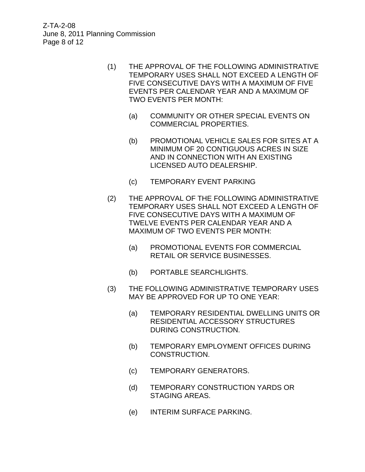Z-TA-2-08 June 8, 2011 Planning Commission Page 8 of 12

- (1) THE APPROVAL OF THE FOLLOWING ADMINISTRATIVE TEMPORARY USES SHALL NOT EXCEED A LENGTH OF FIVE CONSECUTIVE DAYS WITH A MAXIMUM OF FIVE EVENTS PER CALENDAR YEAR AND A MAXIMUM OF TWO EVENTS PER MONTH:
	- (a) COMMUNITY OR OTHER SPECIAL EVENTS ON COMMERCIAL PROPERTIES.
	- (b) PROMOTIONAL VEHICLE SALES FOR SITES AT A MINIMUM OF 20 CONTIGUOUS ACRES IN SIZE AND IN CONNECTION WITH AN EXISTING LICENSED AUTO DEALERSHIP.
	- (c) TEMPORARY EVENT PARKING
- (2) THE APPROVAL OF THE FOLLOWING ADMINISTRATIVE TEMPORARY USES SHALL NOT EXCEED A LENGTH OF FIVE CONSECUTIVE DAYS WITH A MAXIMUM OF TWELVE EVENTS PER CALENDAR YEAR AND A MAXIMUM OF TWO EVENTS PER MONTH:
	- (a) PROMOTIONAL EVENTS FOR COMMERCIAL RETAIL OR SERVICE BUSINESSES.
	- (b) PORTABLE SEARCHLIGHTS.
- (3) THE FOLLOWING ADMINISTRATIVE TEMPORARY USES MAY BE APPROVED FOR UP TO ONE YEAR:
	- (a) TEMPORARY RESIDENTIAL DWELLING UNITS OR RESIDENTIAL ACCESSORY STRUCTURES DURING CONSTRUCTION.
	- (b) TEMPORARY EMPLOYMENT OFFICES DURING CONSTRUCTION.
	- (c) TEMPORARY GENERATORS.
	- (d) TEMPORARY CONSTRUCTION YARDS OR STAGING AREAS.
	- (e) INTERIM SURFACE PARKING.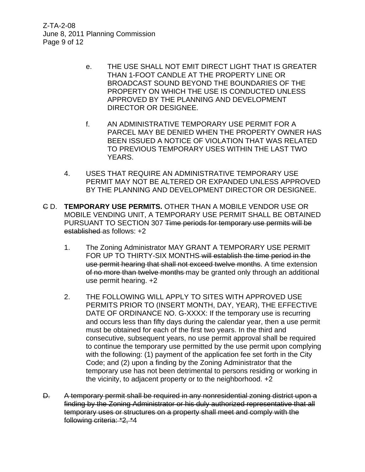Z-TA-2-08 June 8, 2011 Planning Commission Page 9 of 12

- e. THE USE SHALL NOT EMIT DIRECT LIGHT THAT IS GREATER THAN 1-FOOT CANDLE AT THE PROPERTY LINE OR BROADCAST SOUND BEYOND THE BOUNDARIES OF THE PROPERTY ON WHICH THE USE IS CONDUCTED UNLESS APPROVED BY THE PLANNING AND DEVELOPMENT DIRECTOR OR DESIGNEE.
- f. AN ADMINISTRATIVE TEMPORARY USE PERMIT FOR A PARCEL MAY BE DENIED WHEN THE PROPERTY OWNER HAS BEEN ISSUED A NOTICE OF VIOLATION THAT WAS RELATED TO PREVIOUS TEMPORARY USES WITHIN THE LAST TWO YEARS.
- 4. USES THAT REQUIRE AN ADMINISTRATIVE TEMPORARY USE PERMIT MAY NOT BE ALTERED OR EXPANDED UNLESS APPROVED BY THE PLANNING AND DEVELOPMENT DIRECTOR OR DESIGNEE.
- C D. **TEMPORARY USE PERMITS.** OTHER THAN A MOBILE VENDOR USE OR MOBILE VENDING UNIT, A TEMPORARY USE PERMIT SHALL BE OBTAINED PURSUANT TO SECTION 307 Time periods for temporary use permits will be established as follows: +2
	- 1. The Zoning Administrator MAY GRANT A TEMPORARY USE PERMIT FOR UP TO THIRTY-SIX MONTHS will establish the time period in the use permit hearing that shall not exceed twelve months. A time extension of no more than twelve months may be granted only through an additional use permit hearing. +2
	- 2. THE FOLLOWING WILL APPLY TO SITES WITH APPROVED USE PERMITS PRIOR TO (INSERT MONTH, DAY, YEAR), THE EFFECTIVE DATE OF ORDINANCE NO. G-XXXX: If the temporary use is recurring and occurs less than fifty days during the calendar year, then a use permit must be obtained for each of the first two years. In the third and consecutive, subsequent years, no use permit approval shall be required to continue the temporary use permitted by the use permit upon complying with the following: (1) payment of the application fee set forth in the City Code; and (2) upon a finding by the Zoning Administrator that the temporary use has not been detrimental to persons residing or working in the vicinity, to adjacent property or to the neighborhood. +2
- D. A temporary permit shall be required in any nonresidential zoning district upon a finding by the Zoning Administrator or his duly authorized representative that all temporary uses or structures on a property shall meet and comply with the following criteria: \*2, \*4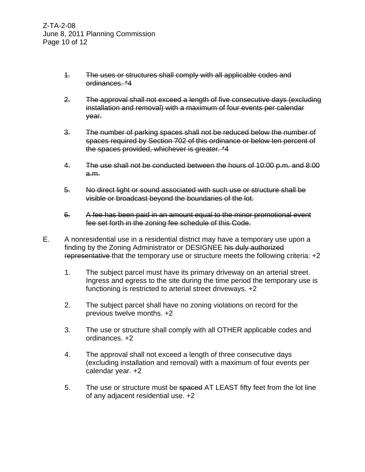- 1. The uses or structures shall comply with all applicable codes and ordinances. \*4
- 2. The approval shall not exceed a length of five consecutive days (excluding installation and removal) with a maximum of four events per calendar year.
- 3. The number of parking spaces shall not be reduced below the number of spaces required by Section 702 of this ordinance or below ten percent of the spaces provided, whichever is greater. \*4
- 4. The use shall not be conducted between the hours of 10:00 p.m. and 8:00 a.m.
- 5. No direct light or sound associated with such use or structure shall be visible or broadcast beyond the boundaries of the lot.
- 6. A fee has been paid in an amount equal to the minor promotional event fee set forth in the zoning fee schedule of this Code.
- E. A nonresidential use in a residential district may have a temporary use upon a finding by the Zoning Administrator or DESIGNEE his duly authorized representative that the temporary use or structure meets the following criteria: +2
	- 1. The subject parcel must have its primary driveway on an arterial street. Ingress and egress to the site during the time period the temporary use is functioning is restricted to arterial street driveways. +2
	- 2. The subject parcel shall have no zoning violations on record for the previous twelve months. +2
	- 3. The use or structure shall comply with all OTHER applicable codes and ordinances. +2
	- 4. The approval shall not exceed a length of three consecutive days (excluding installation and removal) with a maximum of four events per calendar year. +2
	- 5. The use or structure must be spaced AT LEAST fifty feet from the lot line of any adjacent residential use. +2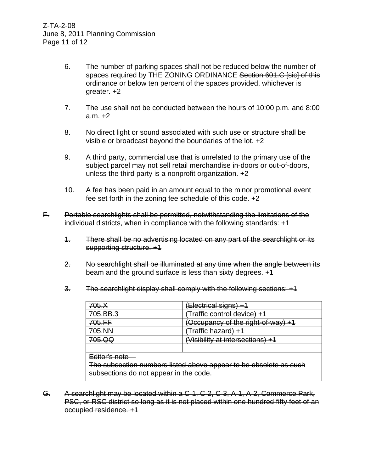- 6. The number of parking spaces shall not be reduced below the number of spaces required by THE ZONING ORDINANCE Section 601.C [sic] of this ordinance or below ten percent of the spaces provided, whichever is greater. +2
- 7. The use shall not be conducted between the hours of 10:00 p.m. and 8:00 a.m. +2
- 8. No direct light or sound associated with such use or structure shall be visible or broadcast beyond the boundaries of the lot. +2
- 9. A third party, commercial use that is unrelated to the primary use of the subject parcel may not sell retail merchandise in-doors or out-of-doors, unless the third party is a nonprofit organization. +2
- 10. A fee has been paid in an amount equal to the minor promotional event fee set forth in the zoning fee schedule of this code. +2
- F. Portable searchlights shall be permitted, notwithstanding the limitations of the individual districts, when in compliance with the following standards: +1
	- 1. There shall be no advertising located on any part of the searchlight or its supporting structure. +1
	- 2. No searchlight shall be illuminated at any time when the angle between its beam and the ground surface is less than sixty degrees. +1
	- 3. The searchlight display shall comply with the following sections: +1

| 705.X                                                             | (Electrical signs) +1                   |  |  |  |
|-------------------------------------------------------------------|-----------------------------------------|--|--|--|
| 705.BB.3                                                          | <del>Traffic control device) +1</del> ) |  |  |  |
| 705.FF                                                            | (Occupancy of the right-of-way) +1      |  |  |  |
| 705.NN<br><del>(Traffic hazard) +1</del>                          |                                         |  |  |  |
| 705.QQ                                                            | (Visibility at intersections) +1        |  |  |  |
|                                                                   |                                         |  |  |  |
| Editor's note                                                     |                                         |  |  |  |
| The subsection numbers listed above appear to be obsolete as such |                                         |  |  |  |
| subsections do not appear in the code.                            |                                         |  |  |  |

G. A searchlight may be located within a C-1, C-2, C-3, A-1, A-2, Commerce Park, PSC, or RSC district so long as it is not placed within one hundred fifty feet of an occupied residence. +1